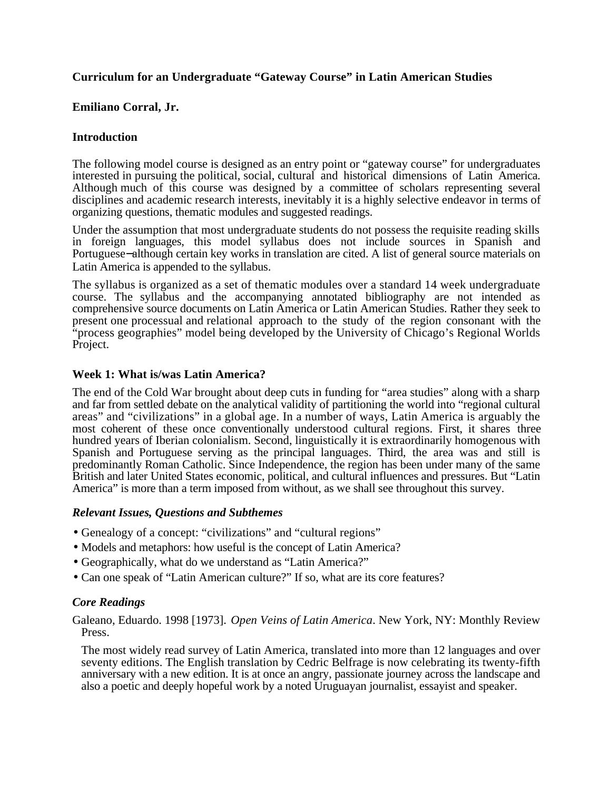## **Curriculum for an Undergraduate "Gateway Course" in Latin American Studies**

## **Emiliano Corral, Jr.**

#### **Introduction**

The following model course is designed as an entry point or "gateway course" for undergraduates interested in pursuing the political, social, cultural and historical dimensions of Latin America. Although much of this course was designed by a committee of scholars representing several disciplines and academic research interests, inevitably it is a highly selective endeavor in terms of organizing questions, thematic modules and suggested readings.

Under the assumption that most undergraduate students do not possess the requisite reading skills in foreign languages, this model syllabus does not include sources in Spanish and Portuguese−although certain key works in translation are cited. A list of general source materials on Latin America is appended to the syllabus.

The syllabus is organized as a set of thematic modules over a standard 14 week undergraduate course. The syllabus and the accompanying annotated bibliography are not intended as comprehensive source documents on Latin America or Latin American Studies. Rather they seek to present one processual and relational approach to the study of the region consonant with the "process geographies" model being developed by the University of Chicago's Regional Worlds Project.

#### **Week 1: What is/was Latin America?**

The end of the Cold War brought about deep cuts in funding for "area studies" along with a sharp and far from settled debate on the analytical validity of partitioning the world into "regional cultural areas" and "civilizations" in a global age. In a number of ways, Latin America is arguably the most coherent of these once conventionally understood cultural regions. First, it shares three hundred years of Iberian colonialism. Second, linguistically it is extraordinarily homogenous with Spanish and Portuguese serving as the principal languages. Third, the area was and still is predominantly Roman Catholic. Since Independence, the region has been under many of the same British and later United States economic, political, and cultural influences and pressures. But "Latin America" is more than a term imposed from without, as we shall see throughout this survey.

#### *Relevant Issues, Questions and Subthemes*

- Genealogy of a concept: "civilizations" and "cultural regions"
- Models and metaphors: how useful is the concept of Latin America?
- Geographically, what do we understand as "Latin America?"
- Can one speak of "Latin American culture?" If so, what are its core features?

## *Core Readings*

Galeano, Eduardo. 1998 [1973]. *Open Veins of Latin America*. New York, NY: Monthly Review Press.

The most widely read survey of Latin America, translated into more than 12 languages and over seventy editions. The English translation by Cedric Belfrage is now celebrating its twenty-fifth anniversary with a new edition. It is at once an angry, passionate journey across the landscape and also a poetic and deeply hopeful work by a noted Uruguayan journalist, essayist and speaker.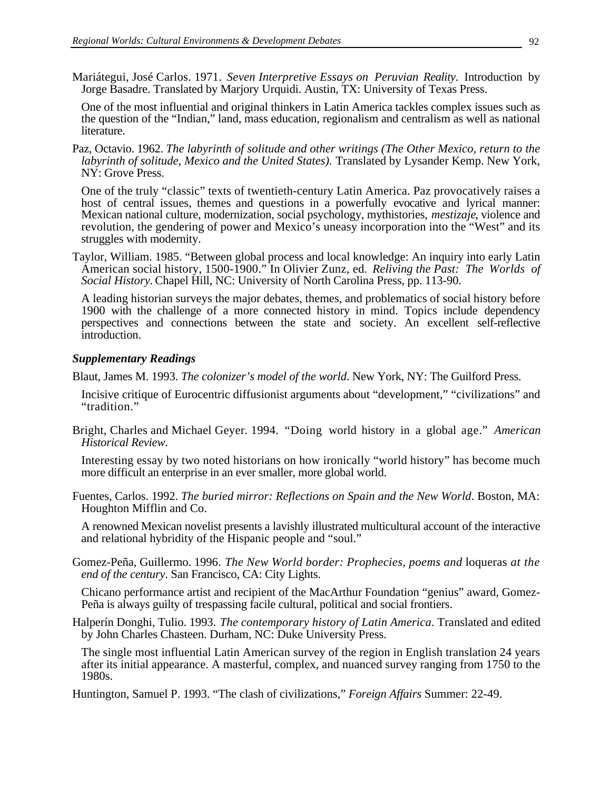Mariátegui, José Carlos. 1971. *Seven Interpretive Essays on Peruvian Reality*. Introduction by Jorge Basadre. Translated by Marjory Urquidi. Austin, TX: University of Texas Press.

One of the most influential and original thinkers in Latin America tackles complex issues such as the question of the "Indian," land, mass education, regionalism and centralism as well as national literature.

Paz, Octavio. 1962. *The labyrinth of solitude and other writings (The Other Mexico, return to the labyrinth of solitude, Mexico and the United States).* Translated by Lysander Kemp. New York, NY: Grove Press.

One of the truly "classic" texts of twentieth-century Latin America. Paz provocatively raises a host of central issues, themes and questions in a powerfully evocative and lyrical manner: Mexican national culture, modernization, social psychology, mythistories, *mestizaje*, violence and revolution, the gendering of power and Mexico's uneasy incorporation into the "West" and its struggles with modernity.

Taylor, William. 1985. "Between global process and local knowledge: An inquiry into early Latin American social history, 1500-1900." In Olivier Zunz, ed. *Reliving the Past: The Worlds of Social History.* Chapel Hill, NC: University of North Carolina Press, pp. 113-90.

A leading historian surveys the major debates, themes, and problematics of social history before 1900 with the challenge of a more connected history in mind. Topics include dependency perspectives and connections between the state and society. An excellent self-reflective introduction.

#### *Supplementary Readings*

Blaut, James M. 1993. *The colonizer's model of the world*. New York, NY: The Guilford Press.

- Incisive critique of Eurocentric diffusionist arguments about "development," "civilizations" and "tradition."
- Bright, Charles and Michael Geyer. 1994. "Doing world history in a global age." *American Historical Review*.

Interesting essay by two noted historians on how ironically "world history" has become much more difficult an enterprise in an ever smaller, more global world.

Fuentes, Carlos. 1992. *The buried mirror: Reflections on Spain and the New World*. Boston, MA: Houghton Mifflin and Co.

A renowned Mexican novelist presents a lavishly illustrated multicultural account of the interactive and relational hybridity of the Hispanic people and "soul."

Gomez-Peña, Guillermo. 1996. *The New World border: Prophecies, poems and* loqueras *at the end of the century*. San Francisco, CA: City Lights.

Chicano performance artist and recipient of the MacArthur Foundation "genius" award, Gomez-Peña is always guilty of trespassing facile cultural, political and social frontiers.

Halperín Donghi, Tulio. 1993. *The contemporary history of Latin America*. Translated and edited by John Charles Chasteen. Durham, NC: Duke University Press.

The single most influential Latin American survey of the region in English translation 24 years after its initial appearance. A masterful, complex, and nuanced survey ranging from 1750 to the 1980s.

Huntington, Samuel P. 1993. "The clash of civilizations," *Foreign Affairs* Summer: 22-49.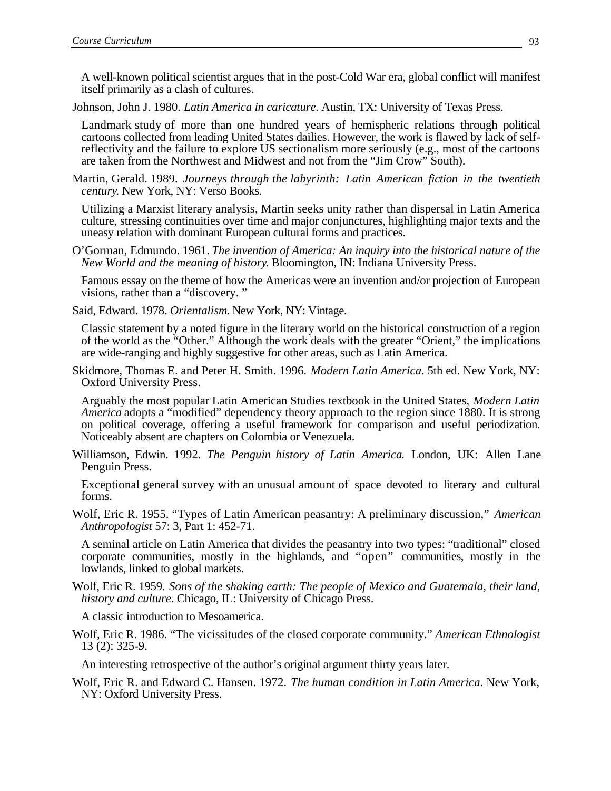A well-known political scientist argues that in the post-Cold War era, global conflict will manifest itself primarily as a clash of cultures.

Johnson, John J. 1980. *Latin America in caricature*. Austin, TX: University of Texas Press.

Landmark study of more than one hundred years of hemispheric relations through political cartoons collected from leading United States dailies. However, the work is flawed by lack of selfreflectivity and the failure to explore US sectionalism more seriously (e.g., most of the cartoons are taken from the Northwest and Midwest and not from the "Jim Crow" South).

Martin, Gerald. 1989. *Journeys through the labyrinth: Latin American fiction in the twentieth century*. New York, NY: Verso Books.

Utilizing a Marxist literary analysis, Martin seeks unity rather than dispersal in Latin America culture, stressing continuities over time and major conjunctures, highlighting major texts and the uneasy relation with dominant European cultural forms and practices.

O'Gorman, Edmundo. 1961. *The invention of America: An inquiry into the historical nature of the New World and the meaning of history*. Bloomington, IN: Indiana University Press.

Famous essay on the theme of how the Americas were an invention and/or projection of European visions, rather than a "discovery. "

Said, Edward. 1978. *Orientalism*. New York, NY: Vintage.

Classic statement by a noted figure in the literary world on the historical construction of a region of the world as the "Other." Although the work deals with the greater "Orient," the implications are wide-ranging and highly suggestive for other areas, such as Latin America.

Skidmore, Thomas E. and Peter H. Smith. 1996. *Modern Latin America*. 5th ed. New York, NY: Oxford University Press.

Arguably the most popular Latin American Studies textbook in the United States, *Modern Latin America* adopts a "modified" dependency theory approach to the region since 1880. It is strong on political coverage, offering a useful framework for comparison and useful periodization. Noticeably absent are chapters on Colombia or Venezuela.

Williamson, Edwin. 1992. *The Penguin history of Latin America*. London, UK: Allen Lane Penguin Press.

Exceptional general survey with an unusual amount of space devoted to literary and cultural forms.

Wolf, Eric R. 1955. "Types of Latin American peasantry: A preliminary discussion," *American Anthropologist* 57: 3, Part 1: 452-71.

A seminal article on Latin America that divides the peasantry into two types: "traditional" closed corporate communities, mostly in the highlands, and "open" communities, mostly in the lowlands, linked to global markets.

Wolf, Eric R. 1959. *Sons of the shaking earth: The people of Mexico and Guatemala, their land, history and culture*. Chicago, IL: University of Chicago Press.

A classic introduction to Mesoamerica.

Wolf, Eric R. 1986. "The vicissitudes of the closed corporate community." *American Ethnologist* 13 (2): 325-9.

An interesting retrospective of the author's original argument thirty years later.

Wolf, Eric R. and Edward C. Hansen. 1972. *The human condition in Latin America*. New York, NY: Oxford University Press.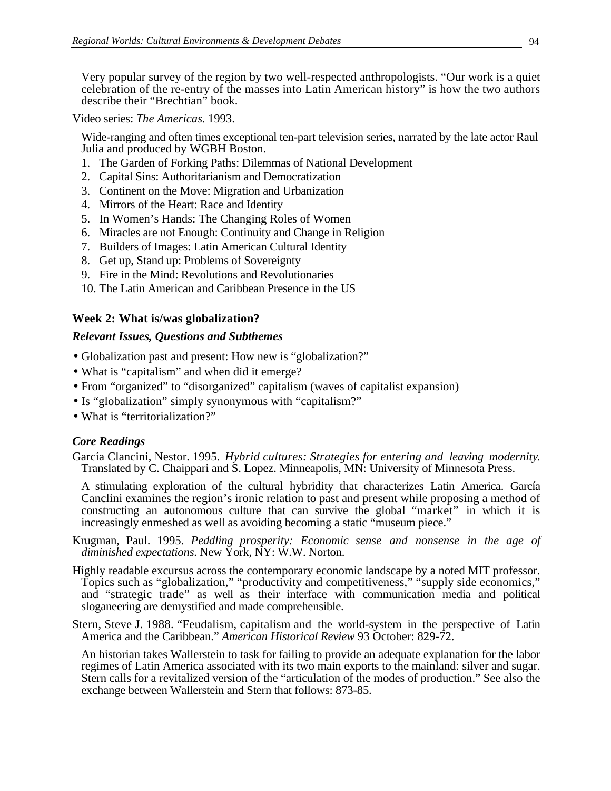Very popular survey of the region by two well-respected anthropologists. "Our work is a quiet celebration of the re-entry of the masses into Latin American history" is how the two authors describe their "Brechtian" book.

Video series: *The Americas*. 1993.

Wide-ranging and often times exceptional ten-part television series, narrated by the late actor Raul Julia and produced by WGBH Boston.

- 1. The Garden of Forking Paths: Dilemmas of National Development
- 2. Capital Sins: Authoritarianism and Democratization
- 3. Continent on the Move: Migration and Urbanization
- 4. Mirrors of the Heart: Race and Identity
- 5. In Women's Hands: The Changing Roles of Women
- 6. Miracles are not Enough: Continuity and Change in Religion
- 7. Builders of Images: Latin American Cultural Identity
- 8. Get up, Stand up: Problems of Sovereignty
- 9. Fire in the Mind: Revolutions and Revolutionaries
- 10. The Latin American and Caribbean Presence in the US

## **Week 2: What is/was globalization?**

## *Relevant Issues, Questions and Subthemes*

- Globalization past and present: How new is "globalization?"
- What is "capitalism" and when did it emerge?
- From "organized" to "disorganized" capitalism (waves of capitalist expansion)
- Is "globalization" simply synonymous with "capitalism?"
- What is "territorialization?"

## *Core Readings*

García Clancini, Nestor. 1995. *Hybrid cultures: Strategies for entering and leaving modernity*. Translated by C. Chaippari and S. Lopez. Minneapolis, MN: University of Minnesota Press.

A stimulating exploration of the cultural hybridity that characterizes Latin America. García Canclini examines the region's ironic relation to past and present while proposing a method of constructing an autonomous culture that can survive the global "market" in which it is increasingly enmeshed as well as avoiding becoming a static "museum piece."

Krugman, Paul. 1995. *Peddling prosperity: Economic sense and nonsense in the age of diminished expectations*. New York, NY: W.W. Norton.

- Highly readable excursus across the contemporary economic landscape by a noted MIT professor. Topics such as "globalization," "productivity and competitiveness," "supply side economics," and "strategic trade" as well as their interface with communication media and political sloganeering are demystified and made comprehensible.
- Stern, Steve J. 1988. "Feudalism, capitalism and the world-system in the perspective of Latin America and the Caribbean." *American Historical Review* 93 October: 829-72.

An historian takes Wallerstein to task for failing to provide an adequate explanation for the labor regimes of Latin America associated with its two main exports to the mainland: silver and sugar. Stern calls for a revitalized version of the "articulation of the modes of production." See also the exchange between Wallerstein and Stern that follows: 873-85.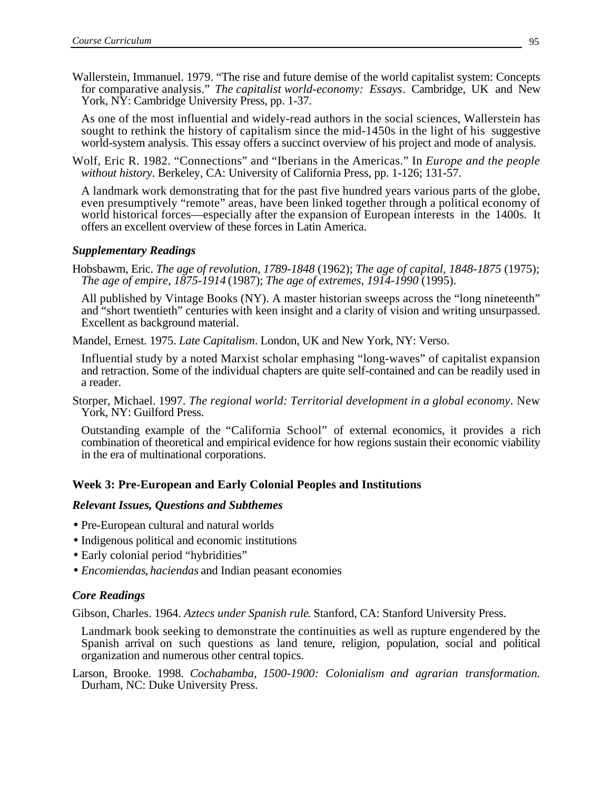Wallerstein, Immanuel. 1979. "The rise and future demise of the world capitalist system: Concepts for comparative analysis." *The capitalist world-economy: Essays*. Cambridge, UK and New York, NY: Cambridge University Press, pp. 1-37.

As one of the most influential and widely-read authors in the social sciences, Wallerstein has sought to rethink the history of capitalism since the mid-1450s in the light of his suggestive world-system analysis. This essay offers a succinct overview of his project and mode of analysis.

Wolf, Eric R. 1982. "Connections" and "Iberians in the Americas." In *Europe and the people without history*. Berkeley, CA: University of California Press, pp. 1-126; 131-57.

A landmark work demonstrating that for the past five hundred years various parts of the globe, even presumptively "remote" areas, have been linked together through a political economy of world historical forces—especially after the expansion of European interests in the 1400s. It offers an excellent overview of these forces in Latin America.

## *Supplementary Readings*

Hobsbawm, Eric. *The age of revolution, 1789-1848* (1962); *The age of capital, 1848-1875* (1975); *The age of empire, 1875-1914* (1987); *The age of extremes, 1914-1990* (1995).

All published by Vintage Books (NY). A master historian sweeps across the "long nineteenth" and "short twentieth" centuries with keen insight and a clarity of vision and writing unsurpassed. Excellent as background material.

Mandel, Ernest. 1975. *Late Capitalism*. London, UK and New York, NY: Verso.

Influential study by a noted Marxist scholar emphasing "long-waves" of capitalist expansion and retraction. Some of the individual chapters are quite self-contained and can be readily used in a reader.

Storper, Michael. 1997. *The regional world: Territorial development in a global economy*. New York, NY: Guilford Press.

Outstanding example of the "California School" of external economics, it provides a rich combination of theoretical and empirical evidence for how regions sustain their economic viability in the era of multinational corporations.

# **Week 3: Pre-European and Early Colonial Peoples and Institutions**

## *Relevant Issues, Questions and Subthemes*

- Pre-European cultural and natural worlds
- Indigenous political and economic institutions
- Early colonial period "hybridities"
- *Encomiendas*, *haciendas* and Indian peasant economies

## *Core Readings*

Gibson, Charles. 1964. *Aztecs under Spanish rule*. Stanford, CA: Stanford University Press.

Landmark book seeking to demonstrate the continuities as well as rupture engendered by the Spanish arrival on such questions as land tenure, religion, population, social and political organization and numerous other central topics.

Larson, Brooke. 1998*. Cochabamba, 1500-1900: Colonialism and agrarian transformation.* Durham, NC: Duke University Press.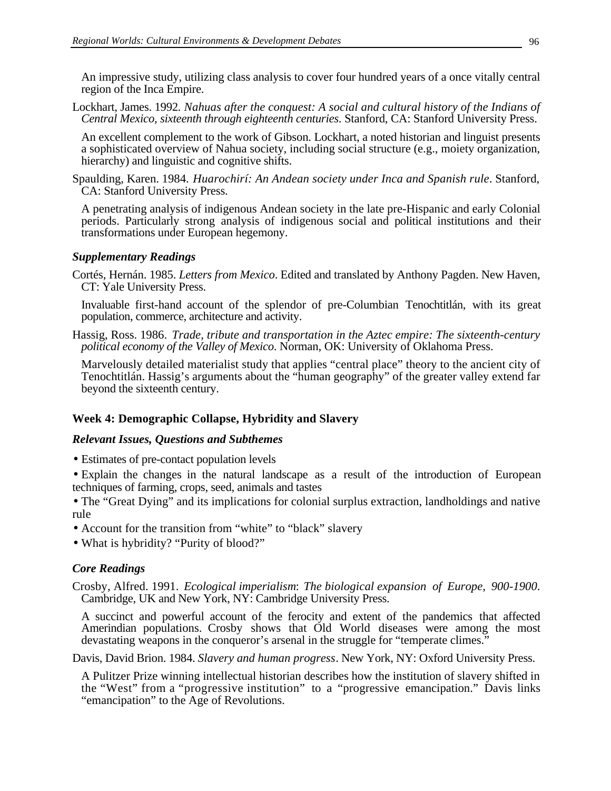An impressive study, utilizing class analysis to cover four hundred years of a once vitally central region of the Inca Empire.

Lockhart, James. 1992*. Nahuas after the conquest: A social and cultural history of the Indians of Central Mexico, sixteenth through eighteenth centuries*. Stanford, CA: Stanford University Press.

An excellent complement to the work of Gibson. Lockhart, a noted historian and linguist presents a sophisticated overview of Nahua society, including social structure (e.g., moiety organization, hierarchy) and linguistic and cognitive shifts.

Spaulding, Karen. 1984. *Huarochirí: An Andean society under Inca and Spanish rule*. Stanford, CA: Stanford University Press.

A penetrating analysis of indigenous Andean society in the late pre-Hispanic and early Colonial periods. Particularly strong analysis of indigenous social and political institutions and their transformations under European hegemony.

## *Supplementary Readings*

Cortés, Hernán. 1985. *Letters from Mexico*. Edited and translated by Anthony Pagden. New Haven, CT: Yale University Press.

Invaluable first-hand account of the splendor of pre-Columbian Tenochtitlán, with its great population, commerce, architecture and activity.

Hassig, Ross. 1986. *Trade, tribute and transportation in the Aztec empire: The sixteenth-century political economy of the Valley of Mexico*. Norman, OK: University of Oklahoma Press.

Marvelously detailed materialist study that applies "central place" theory to the ancient city of Tenochtitlán. Hassig's arguments about the "human geography" of the greater valley extend far beyond the sixteenth century.

# **Week 4: Demographic Collapse, Hybridity and Slavery**

## *Relevant Issues, Questions and Subthemes*

• Estimates of pre-contact population levels

• Explain the changes in the natural landscape as a result of the introduction of European techniques of farming, crops, seed, animals and tastes

• The "Great Dying" and its implications for colonial surplus extraction, landholdings and native rule

- Account for the transition from "white" to "black" slavery
- What is hybridity? "Purity of blood?"

# *Core Readings*

Crosby, Alfred. 1991. *Ecological imperialism*: *The biological expansion of Europe, 900-1900*. Cambridge, UK and New York, NY: Cambridge University Press.

A succinct and powerful account of the ferocity and extent of the pandemics that affected Amerindian populations. Crosby shows that Old World diseases were among the most devastating weapons in the conqueror's arsenal in the struggle for "temperate climes."

Davis, David Brion. 1984. *Slavery and human progress*. New York, NY: Oxford University Press.

A Pulitzer Prize winning intellectual historian describes how the institution of slavery shifted in the "West" from a "progressive institution" to a "progressive emancipation." Davis links "emancipation" to the Age of Revolutions.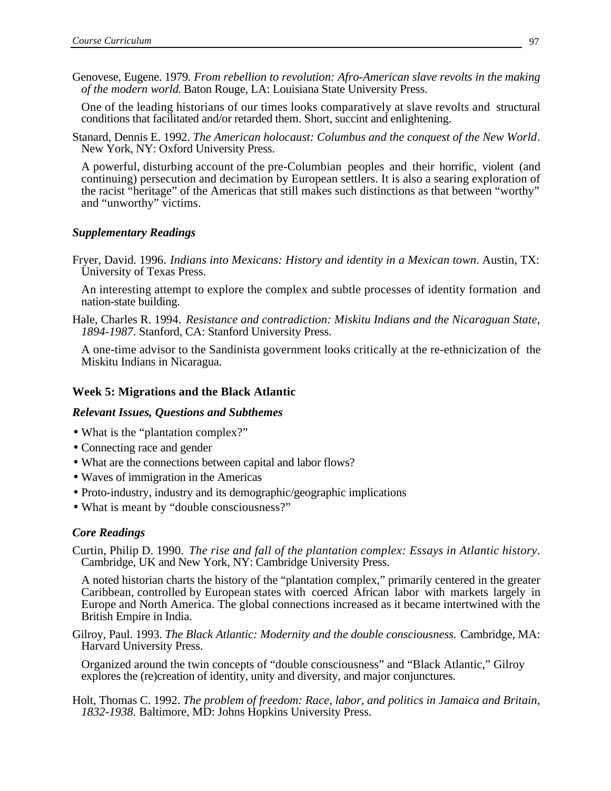Genovese, Eugene. 1979*. From rebellion to revolution: Afro-American slave revolts in the making of the modern world*. Baton Rouge, LA: Louisiana State University Press.

One of the leading historians of our times looks comparatively at slave revolts and structural conditions that facilitated and/or retarded them. Short, succint and enlightening.

Stanard, Dennis E. 1992. *The American holocaust: Columbus and the conquest of the New World*. New York, NY: Oxford University Press.

A powerful, disturbing account of the pre-Columbian peoples and their horrific, violent (and continuing) persecution and decimation by European settlers. It is also a searing exploration of the racist "heritage" of the Americas that still makes such distinctions as that between "worthy" and "unworthy" victims.

## *Supplementary Readings*

Fryer, David. 1996. *Indians into Mexicans: History and identity in a Mexican town*. Austin, TX: University of Texas Press.

An interesting attempt to explore the complex and subtle processes of identity formation and nation-state building.

Hale, Charles R. 1994. *Resistance and contradiction: Miskitu Indians and the Nicaraguan State, 1894-1987*. Stanford, CA: Stanford University Press.

A one-time advisor to the Sandinista government looks critically at the re-ethnicization of the Miskitu Indians in Nicaragua.

#### **Week 5: Migrations and the Black Atlantic**

#### *Relevant Issues, Questions and Subthemes*

- What is the "plantation complex?"
- Connecting race and gender
- What are the connections between capital and labor flows?
- Waves of immigration in the Americas
- Proto-industry, industry and its demographic/geographic implications
- What is meant by "double consciousness?"

## *Core Readings*

Curtin, Philip D. 1990. *The rise and fall of the plantation complex: Essays in Atlantic history*. Cambridge, UK and New York, NY: Cambridge University Press.

A noted historian charts the history of the "plantation complex," primarily centered in the greater Caribbean, controlled by European states with coerced African labor with markets largely in Europe and North America. The global connections increased as it became intertwined with the British Empire in India.

Gilroy, Paul. 1993. *The Black Atlantic: Modernity and the double consciousness.* Cambridge, MA: Harvard University Press.

Organized around the twin concepts of "double consciousness" and "Black Atlantic," Gilroy explores the (re)creation of identity, unity and diversity, and major conjunctures.

Holt, Thomas C. 1992. *The problem of freedom: Race, labor, and politics in Jamaica and Britain, 1832-1938.* Baltimore, MD: Johns Hopkins University Press.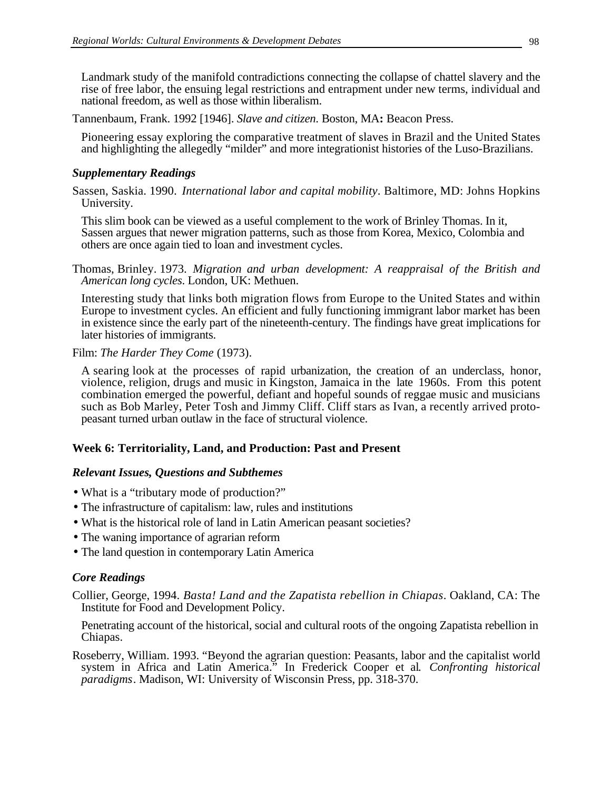Landmark study of the manifold contradictions connecting the collapse of chattel slavery and the rise of free labor, the ensuing legal restrictions and entrapment under new terms, individual and national freedom, as well as those within liberalism.

Tannenbaum, Frank. 1992 [1946]. *Slave and citizen*. Boston, MA**:** Beacon Press.

Pioneering essay exploring the comparative treatment of slaves in Brazil and the United States and highlighting the allegedly "milder" and more integrationist histories of the Luso-Brazilians.

## *Supplementary Readings*

Sassen, Saskia. 1990. *International labor and capital mobility*. Baltimore, MD: Johns Hopkins University.

This slim book can be viewed as a useful complement to the work of Brinley Thomas. In it, Sassen argues that newer migration patterns, such as those from Korea, Mexico, Colombia and others are once again tied to loan and investment cycles.

Thomas, Brinley. 1973. *Migration and urban development: A reappraisal of the British and American long cycles*. London, UK: Methuen.

Interesting study that links both migration flows from Europe to the United States and within Europe to investment cycles. An efficient and fully functioning immigrant labor market has been in existence since the early part of the nineteenth-century. The findings have great implications for later histories of immigrants.

Film: *The Harder They Come* (1973).

A searing look at the processes of rapid urbanization, the creation of an underclass, honor, violence, religion, drugs and music in Kingston, Jamaica in the late 1960s. From this potent combination emerged the powerful, defiant and hopeful sounds of reggae music and musicians such as Bob Marley, Peter Tosh and Jimmy Cliff. Cliff stars as Ivan, a recently arrived protopeasant turned urban outlaw in the face of structural violence.

# **Week 6: Territoriality, Land, and Production: Past and Present**

## *Relevant Issues, Questions and Subthemes*

- What is a "tributary mode of production?"
- The infrastructure of capitalism: law, rules and institutions
- What is the historical role of land in Latin American peasant societies?
- The waning importance of agrarian reform
- The land question in contemporary Latin America

# *Core Readings*

Collier, George, 1994. *Basta! Land and the Zapatista rebellion in Chiapas*. Oakland, CA: The Institute for Food and Development Policy.

Penetrating account of the historical, social and cultural roots of the ongoing Zapatista rebellion in Chiapas.

Roseberry, William. 1993. "Beyond the agrarian question: Peasants, labor and the capitalist world system in Africa and Latin America." In Frederick Cooper et al*. Confronting historical paradigms*. Madison, WI: University of Wisconsin Press, pp. 318-370.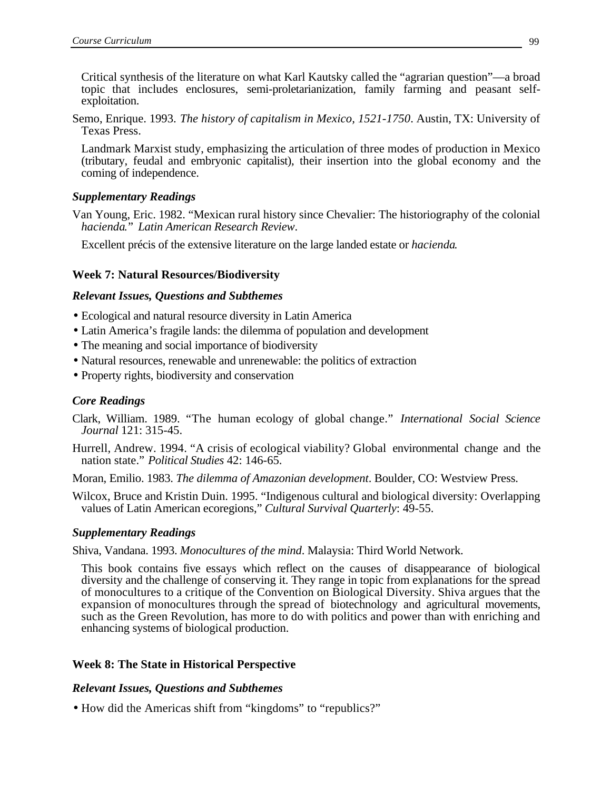Critical synthesis of the literature on what Karl Kautsky called the "agrarian question"—a broad topic that includes enclosures, semi-proletarianization, family farming and peasant selfexploitation.

Semo, Enrique. 1993. *The history of capitalism in Mexico, 1521-1750*. Austin, TX: University of Texas Press.

Landmark Marxist study, emphasizing the articulation of three modes of production in Mexico (tributary, feudal and embryonic capitalist), their insertion into the global economy and the coming of independence.

## *Supplementary Readings*

Van Young, Eric. 1982. "Mexican rural history since Chevalier: The historiography of the colonial *hacienda*." *Latin American Research Review*.

Excellent précis of the extensive literature on the large landed estate or *hacienda*.

## **Week 7: Natural Resources/Biodiversity**

## *Relevant Issues, Questions and Subthemes*

- Ecological and natural resource diversity in Latin America
- Latin America's fragile lands: the dilemma of population and development
- The meaning and social importance of biodiversity
- Natural resources, renewable and unrenewable: the politics of extraction
- Property rights, biodiversity and conservation

# *Core Readings*

- Clark, William. 1989. "The human ecology of global change." *International Social Science Journal* 121: 315-45.
- Hurrell, Andrew. 1994. "A crisis of ecological viability? Global environmental change and the nation state." *Political Studies* 42: 146-65.
- Moran, Emilio. 1983. *The dilemma of Amazonian development*. Boulder, CO: Westview Press.
- Wilcox, Bruce and Kristin Duin. 1995. "Indigenous cultural and biological diversity: Overlapping values of Latin American ecoregions," *Cultural Survival Quarterly*: 49-55.

## *Supplementary Readings*

Shiva, Vandana. 1993. *Monocultures of the mind*. Malaysia: Third World Network.

This book contains five essays which reflect on the causes of disappearance of biological diversity and the challenge of conserving it. They range in topic from explanations for the spread of monocultures to a critique of the Convention on Biological Diversity. Shiva argues that the expansion of monocultures through the spread of biotechnology and agricultural movements, such as the Green Revolution, has more to do with politics and power than with enriching and enhancing systems of biological production.

# **Week 8: The State in Historical Perspective**

## *Relevant Issues, Questions and Subthemes*

• How did the Americas shift from "kingdoms" to "republics?"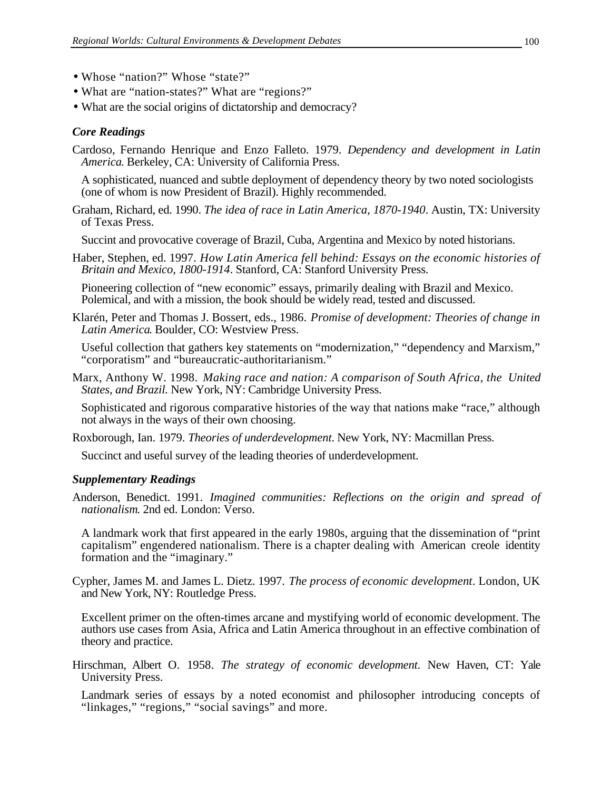- Whose "nation?" Whose "state?"
- What are "nation-states?" What are "regions?"
- What are the social origins of dictatorship and democracy?

## *Core Readings*

Cardoso, Fernando Henrique and Enzo Falleto. 1979. *Dependency and development in Latin America*. Berkeley, CA: University of California Press.

A sophisticated, nuanced and subtle deployment of dependency theory by two noted sociologists (one of whom is now President of Brazil). Highly recommended.

Graham, Richard, ed. 1990. *The idea of race in Latin America, 1870-1940*. Austin, TX: University of Texas Press.

Succint and provocative coverage of Brazil, Cuba, Argentina and Mexico by noted historians.

Haber, Stephen, ed. 1997. *How Latin America fell behind: Essays on the economic histories of Britain and Mexico, 1800-1914*. Stanford, CA: Stanford University Press.

Pioneering collection of "new economic" essays, primarily dealing with Brazil and Mexico. Polemical, and with a mission, the book should be widely read, tested and discussed.

Klarén, Peter and Thomas J. Bossert, eds., 1986. *Promise of development: Theories of change in Latin America*. Boulder, CO: Westview Press.

Useful collection that gathers key statements on "modernization," "dependency and Marxism," "corporatism" and "bureaucratic-authoritarianism."

Marx, Anthony W. 1998. *Making race and nation: A comparison of South Africa, the United States, and Brazil.* New York, NY: Cambridge University Press.

Sophisticated and rigorous comparative histories of the way that nations make "race," although not always in the ways of their own choosing.

Roxborough, Ian. 1979. *Theories of underdevelopment*. New York, NY: Macmillan Press.

Succinct and useful survey of the leading theories of underdevelopment.

## *Supplementary Readings*

Anderson, Benedict. 1991. *Imagined communities: Reflections on the origin and spread of nationalism*. 2nd ed. London: Verso.

A landmark work that first appeared in the early 1980s, arguing that the dissemination of "print capitalism" engendered nationalism. There is a chapter dealing with American creole identity formation and the "imaginary."

Cypher, James M. and James L. Dietz. 1997. *The process of economic development*. London, UK and New York, NY: Routledge Press.

Excellent primer on the often-times arcane and mystifying world of economic development. The authors use cases from Asia, Africa and Latin America throughout in an effective combination of theory and practice.

Hirschman, Albert O. 1958. *The strategy of economic development*. New Haven, CT: Yale University Press.

Landmark series of essays by a noted economist and philosopher introducing concepts of "linkages," "regions," "social savings" and more.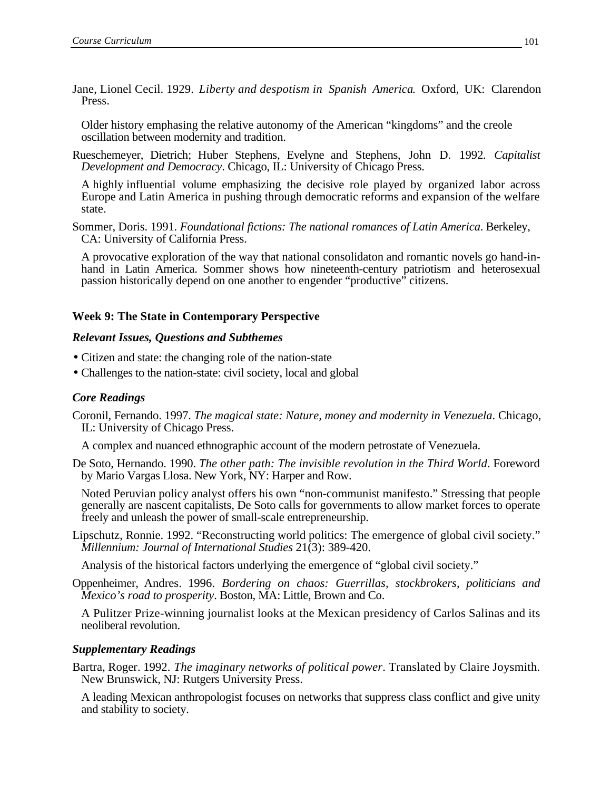Jane, Lionel Cecil. 1929. *Liberty and despotism in Spanish America*. Oxford, UK: Clarendon Press.

Older history emphasing the relative autonomy of the American "kingdoms" and the creole oscillation between modernity and tradition.

Rueschemeyer, Dietrich; Huber Stephens, Evelyne and Stephens, John D. 1992*. Capitalist Development and Democracy*. Chicago, IL: University of Chicago Press.

A highly influential volume emphasizing the decisive role played by organized labor across Europe and Latin America in pushing through democratic reforms and expansion of the welfare state.

Sommer, Doris. 1991. *Foundational fictions: The national romances of Latin America*. Berkeley, CA: University of California Press.

A provocative exploration of the way that national consolidaton and romantic novels go hand-inhand in Latin America. Sommer shows how nineteenth-century patriotism and heterosexual passion historically depend on one another to engender "productive" citizens.

## **Week 9: The State in Contemporary Perspective**

#### *Relevant Issues, Questions and Subthemes*

- Citizen and state: the changing role of the nation-state
- Challenges to the nation-state: civil society, local and global

#### *Core Readings*

Coronil, Fernando. 1997. *The magical state: Nature, money and modernity in Venezuela*. Chicago, IL: University of Chicago Press.

A complex and nuanced ethnographic account of the modern petrostate of Venezuela.

De Soto, Hernando. 1990. *The other path: The invisible revolution in the Third World*. Foreword by Mario Vargas Llosa. New York, NY: Harper and Row.

Noted Peruvian policy analyst offers his own "non-communist manifesto." Stressing that people generally are nascent capitalists, De Soto calls for governments to allow market forces to operate freely and unleash the power of small-scale entrepreneurship.

Lipschutz, Ronnie. 1992. "Reconstructing world politics: The emergence of global civil society." *Millennium: Journal of International Studies* 21(3): 389-420.

Analysis of the historical factors underlying the emergence of "global civil society."

Oppenheimer, Andres. 1996. *Bordering on chaos: Guerrillas, stockbrokers, politicians and Mexico's road to prosperity*. Boston, MA: Little, Brown and Co.

A Pulitzer Prize-winning journalist looks at the Mexican presidency of Carlos Salinas and its neoliberal revolution.

#### *Supplementary Readings*

Bartra, Roger. 1992. *The imaginary networks of political power*. Translated by Claire Joysmith. New Brunswick, NJ: Rutgers University Press.

A leading Mexican anthropologist focuses on networks that suppress class conflict and give unity and stability to society.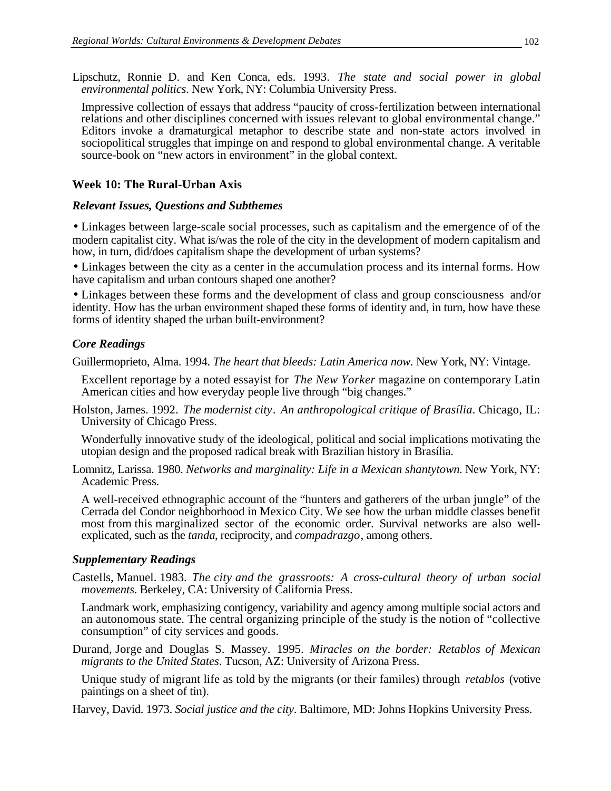Lipschutz, Ronnie D. and Ken Conca, eds. 1993. *The state and social power in global environmental politics*. New York, NY: Columbia University Press.

Impressive collection of essays that address "paucity of cross-fertilization between international relations and other disciplines concerned with issues relevant to global environmental change." Editors invoke a dramaturgical metaphor to describe state and non-state actors involved in sociopolitical struggles that impinge on and respond to global environmental change. A veritable source-book on "new actors in environment" in the global context.

# **Week 10: The Rural-Urban Axis**

## *Relevant Issues, Questions and Subthemes*

• Linkages between large-scale social processes, such as capitalism and the emergence of of the modern capitalist city. What is/was the role of the city in the development of modern capitalism and how, in turn, did/does capitalism shape the development of urban systems?

• Linkages between the city as a center in the accumulation process and its internal forms. How have capitalism and urban contours shaped one another?

• Linkages between these forms and the development of class and group consciousness and/or identity. How has the urban environment shaped these forms of identity and, in turn, how have these forms of identity shaped the urban built-environment?

## *Core Readings*

Guillermoprieto, Alma. 1994. *The heart that bleeds: Latin America now.* New York, NY: Vintage.

Excellent reportage by a noted essayist for *The New Yorker* magazine on contemporary Latin American cities and how everyday people live through "big changes."

Holston, James. 1992. *The modernist city*. *An anthropological critique of Brasília*. Chicago, IL: University of Chicago Press.

Wonderfully innovative study of the ideological, political and social implications motivating the utopian design and the proposed radical break with Brazilian history in Brasília.

Lomnitz, Larissa. 1980. *Networks and marginality: Life in a Mexican shantytown*. New York, NY: Academic Press.

A well-received ethnographic account of the "hunters and gatherers of the urban jungle" of the Cerrada del Condor neighborhood in Mexico City. We see how the urban middle classes benefit most from this marginalized sector of the economic order. Survival networks are also wellexplicated, such as the *tanda*, reciprocity, and *compadrazgo*, among others.

## *Supplementary Readings*

Castells, Manuel. 1983. *The city and the grassroots: A cross-cultural theory of urban social movements*. Berkeley, CA: University of California Press.

Landmark work, emphasizing contigency, variability and agency among multiple social actors and an autonomous state. The central organizing principle of the study is the notion of "collective consumption" of city services and goods.

Durand, Jorge and Douglas S. Massey. 1995. *Miracles on the border: Retablos of Mexican migrants to the United States*. Tucson, AZ: University of Arizona Press.

Unique study of migrant life as told by the migrants (or their familes) through *retablos* (votive paintings on a sheet of tin).

Harvey, David. 1973. *Social justice and the city*. Baltimore, MD: Johns Hopkins University Press.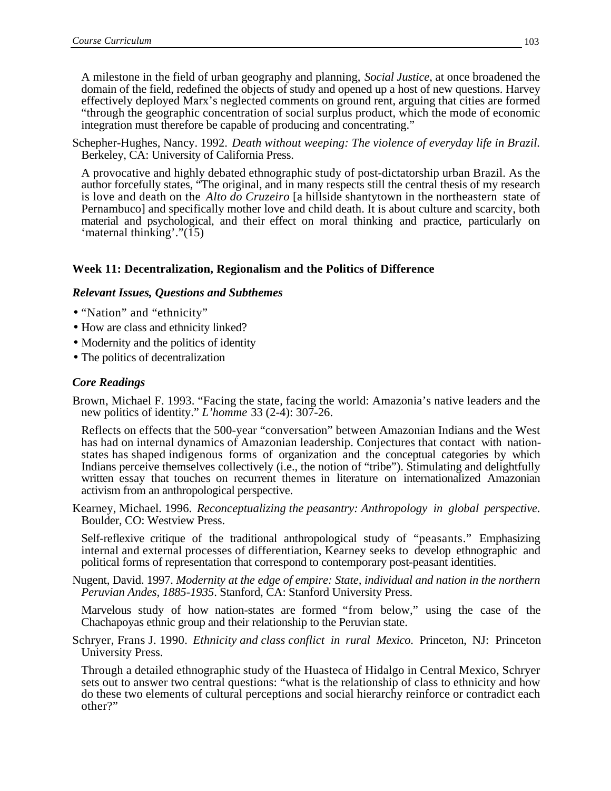A milestone in the field of urban geography and planning, *Social Justice*, at once broadened the domain of the field, redefined the objects of study and opened up a host of new questions. Harvey effectively deployed Marx's neglected comments on ground rent, arguing that cities are formed "through the geographic concentration of social surplus product, which the mode of economic integration must therefore be capable of producing and concentrating."

Schepher-Hughes, Nancy. 1992. *Death without weeping: The violence of everyday life in Brazil.* Berkeley, CA: University of California Press.

A provocative and highly debated ethnographic study of post-dictatorship urban Brazil. As the author forcefully states, "The original, and in many respects still the central thesis of my research is love and death on the *Alto do Cruzeiro* [a hillside shantytown in the northeastern state of Pernambuco] and specifically mother love and child death. It is about culture and scarcity, both material and psychological, and their effect on moral thinking and practice, particularly on 'maternal thinking'."(15)

## **Week 11: Decentralization, Regionalism and the Politics of Difference**

#### *Relevant Issues, Questions and Subthemes*

- "Nation" and "ethnicity"
- How are class and ethnicity linked?
- Modernity and the politics of identity
- The politics of decentralization

#### *Core Readings*

Brown, Michael F. 1993. "Facing the state, facing the world: Amazonia's native leaders and the new politics of identity." *L'homme* 33 (2-4): 307-26.

Reflects on effects that the 500-year "conversation" between Amazonian Indians and the West has had on internal dynamics of Amazonian leadership. Conjectures that contact with nationstates has shaped indigenous forms of organization and the conceptual categories by which Indians perceive themselves collectively (i.e., the notion of "tribe"). Stimulating and delightfully written essay that touches on recurrent themes in literature on internationalized Amazonian activism from an anthropological perspective.

Kearney, Michael. 1996. *Reconceptualizing the peasantry: Anthropology in global perspective*. Boulder, CO: Westview Press.

Self-reflexive critique of the traditional anthropological study of "peasants." Emphasizing internal and external processes of differentiation, Kearney seeks to develop ethnographic and political forms of representation that correspond to contemporary post-peasant identities.

Nugent, David. 1997. *Modernity at the edge of empire: State, individual and nation in the northern Peruvian Andes, 1885-1935*. Stanford, CA: Stanford University Press.

Marvelous study of how nation-states are formed "from below," using the case of the Chachapoyas ethnic group and their relationship to the Peruvian state.

Schryer, Frans J. 1990. *Ethnicity and class conflict in rural Mexico*. Princeton, NJ: Princeton University Press.

Through a detailed ethnographic study of the Huasteca of Hidalgo in Central Mexico, Schryer sets out to answer two central questions: "what is the relationship of class to ethnicity and how do these two elements of cultural perceptions and social hierarchy reinforce or contradict each other?"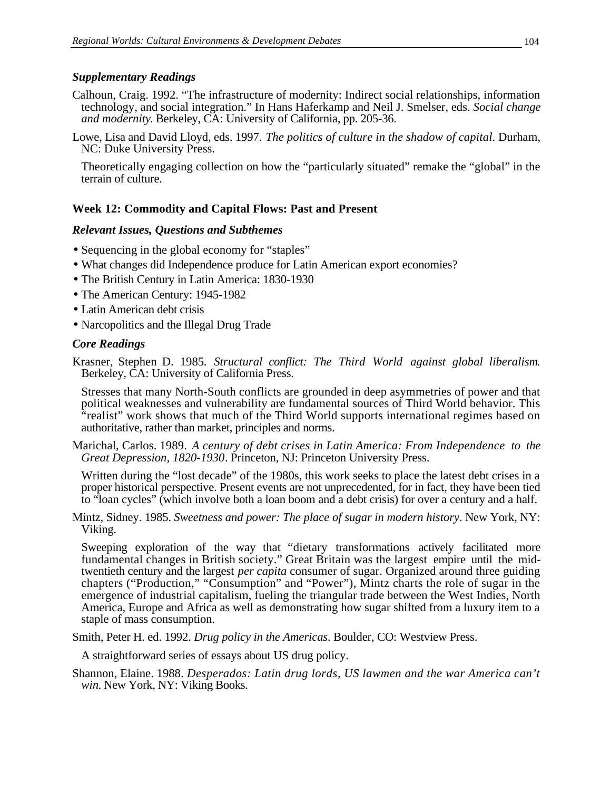## *Supplementary Readings*

- Calhoun, Craig. 1992. "The infrastructure of modernity: Indirect social relationships, information technology, and social integration." In Hans Haferkamp and Neil J. Smelser, eds. *Social change and modernity*. Berkeley, CA: University of California, pp. 205-36.
- Lowe, Lisa and David Lloyd, eds. 1997. *The politics of culture in the shadow of capital*. Durham, NC: Duke University Press.

Theoretically engaging collection on how the "particularly situated" remake the "global" in the terrain of culture.

# **Week 12: Commodity and Capital Flows: Past and Present**

## *Relevant Issues, Questions and Subthemes*

- Sequencing in the global economy for "staples"
- What changes did Independence produce for Latin American export economies?
- The British Century in Latin America: 1830-1930
- The American Century: 1945-1982
- Latin American debt crisis
- Narcopolitics and the Illegal Drug Trade

#### *Core Readings*

Krasner, Stephen D. 1985*. Structural conflict: The Third World against global liberalism*. Berkeley, CA: University of California Press.

Stresses that many North-South conflicts are grounded in deep asymmetries of power and that political weaknesses and vulnerability are fundamental sources of Third World behavior. This "realist" work shows that much of the Third World supports international regimes based on authoritative, rather than market, principles and norms.

Marichal, Carlos. 1989. *A century of debt crises in Latin America: From Independence to the Great Depression, 1820-1930*. Princeton, NJ: Princeton University Press.

Written during the "lost decade" of the 1980s, this work seeks to place the latest debt crises in a proper historical perspective. Present events are not unprecedented, for in fact, they have been tied to "loan cycles" (which involve both a loan boom and a debt crisis) for over a century and a half.

Mintz, Sidney. 1985. *Sweetness and power: The place of sugar in modern history*. New York, NY: Viking.

Sweeping exploration of the way that "dietary transformations actively facilitated more fundamental changes in British society." Great Britain was the largest empire until the midtwentieth century and the largest *per capita* consumer of sugar. Organized around three guiding chapters ("Production," "Consumption" and "Power"), Mintz charts the role of sugar in the emergence of industrial capitalism, fueling the triangular trade between the West Indies, North America, Europe and Africa as well as demonstrating how sugar shifted from a luxury item to a staple of mass consumption.

Smith, Peter H. ed. 1992. *Drug policy in the Americas*. Boulder, CO: Westview Press.

A straightforward series of essays about US drug policy.

Shannon, Elaine. 1988. *Desperados: Latin drug lords, US lawmen and the war America can't win*. New York, NY: Viking Books.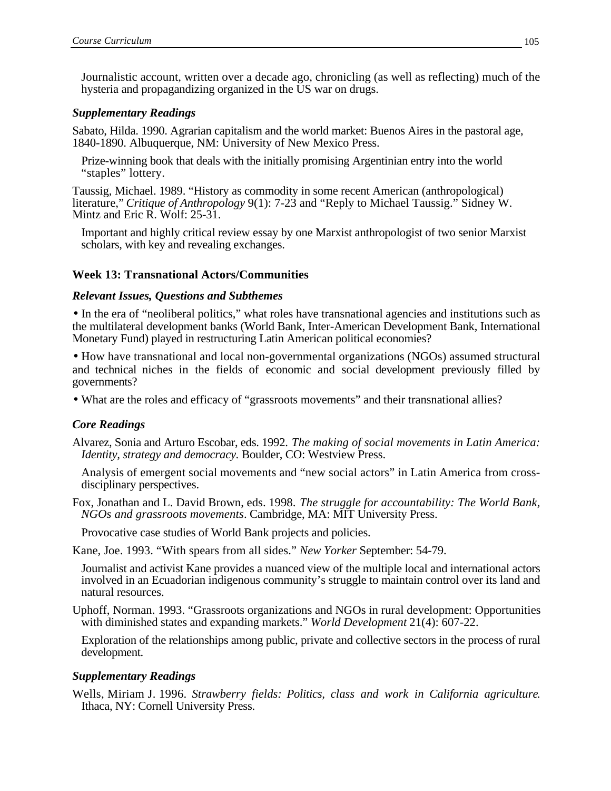Journalistic account, written over a decade ago, chronicling (as well as reflecting) much of the hysteria and propagandizing organized in the US war on drugs.

#### *Supplementary Readings*

Sabato, Hilda. 1990. Agrarian capitalism and the world market: Buenos Aires in the pastoral age, 1840-1890. Albuquerque, NM: University of New Mexico Press.

Prize-winning book that deals with the initially promising Argentinian entry into the world "staples" lottery.

Taussig, Michael. 1989. "History as commodity in some recent American (anthropological) literature," *Critique of Anthropology* 9(1): 7-23 and "Reply to Michael Taussig." Sidney W. Mintz and Eric R. Wolf: 25-31.

Important and highly critical review essay by one Marxist anthropologist of two senior Marxist scholars, with key and revealing exchanges.

## **Week 13: Transnational Actors/Communities**

#### *Relevant Issues, Questions and Subthemes*

• In the era of "neoliberal politics," what roles have transnational agencies and institutions such as the multilateral development banks (World Bank, Inter-American Development Bank, International Monetary Fund) played in restructuring Latin American political economies?

• How have transnational and local non-governmental organizations (NGOs) assumed structural and technical niches in the fields of economic and social development previously filled by governments?

• What are the roles and efficacy of "grassroots movements" and their transnational allies?

## *Core Readings*

Alvarez, Sonia and Arturo Escobar, eds. 1992. *The making of social movements in Latin America: Identity, strategy and democracy.* Boulder, CO: Westview Press.

Analysis of emergent social movements and "new social actors" in Latin America from crossdisciplinary perspectives.

Fox, Jonathan and L. David Brown, eds. 1998. *The struggle for accountability: The World Bank, NGOs and grassroots movements*. Cambridge, MA: MIT University Press.

Provocative case studies of World Bank projects and policies.

Kane, Joe. 1993. "With spears from all sides." *New Yorker* September: 54-79.

Journalist and activist Kane provides a nuanced view of the multiple local and international actors involved in an Ecuadorian indigenous community's struggle to maintain control over its land and natural resources.

Uphoff, Norman. 1993. "Grassroots organizations and NGOs in rural development: Opportunities with diminished states and expanding markets." *World Development* 21(4): 607-22.

Exploration of the relationships among public, private and collective sectors in the process of rural development.

#### *Supplementary Readings*

Wells, Miriam J. 1996. *Strawberry fields: Politics, class and work in California agriculture*. Ithaca, NY: Cornell University Press.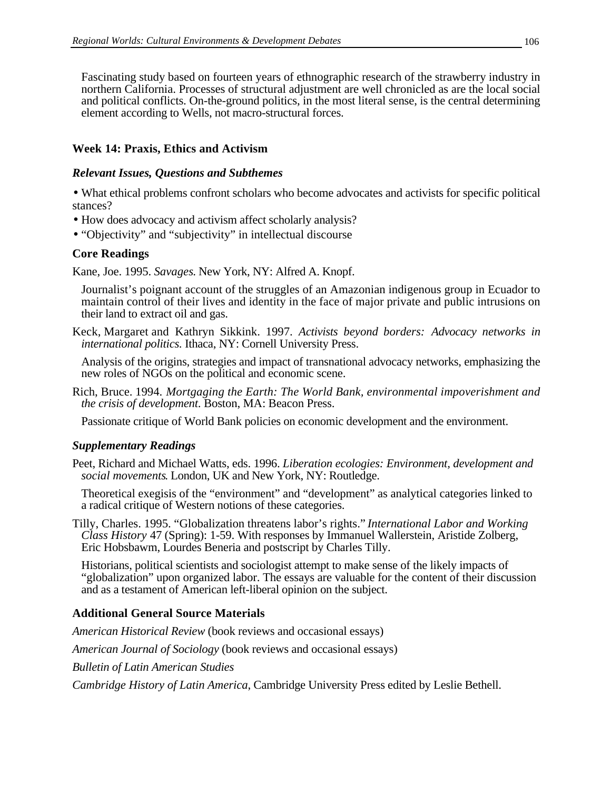Fascinating study based on fourteen years of ethnographic research of the strawberry industry in northern California. Processes of structural adjustment are well chronicled as are the local social and political conflicts. On-the-ground politics, in the most literal sense, is the central determining element according to Wells, not macro-structural forces.

# **Week 14: Praxis, Ethics and Activism**

#### *Relevant Issues, Questions and Subthemes*

• What ethical problems confront scholars who become advocates and activists for specific political stances?

- How does advocacy and activism affect scholarly analysis?
- "Objectivity" and "subjectivity" in intellectual discourse

## **Core Readings**

Kane, Joe. 1995. *Savages*. New York, NY: Alfred A. Knopf.

Journalist's poignant account of the struggles of an Amazonian indigenous group in Ecuador to maintain control of their lives and identity in the face of major private and public intrusions on their land to extract oil and gas.

Keck, Margaret and Kathryn Sikkink. 1997. *Activists beyond borders: Advocacy networks in international politics.* Ithaca, NY: Cornell University Press.

Analysis of the origins, strategies and impact of transnational advocacy networks, emphasizing the new roles of NGOs on the political and economic scene.

Rich, Bruce. 1994. *Mortgaging the Earth: The World Bank, environmental impoverishment and the crisis of development*. Boston, MA: Beacon Press.

Passionate critique of World Bank policies on economic development and the environment.

## *Supplementary Readings*

Peet, Richard and Michael Watts, eds. 1996. *Liberation ecologies: Environment, development and social movements*. London, UK and New York, NY: Routledge.

Theoretical exegisis of the "environment" and "development" as analytical categories linked to a radical critique of Western notions of these categories.

Tilly, Charles. 1995. "Globalization threatens labor's rights." *International Labor and Working Class History* 47 (Spring): 1-59. With responses by Immanuel Wallerstein, Aristide Zolberg, Eric Hobsbawm, Lourdes Beneria and postscript by Charles Tilly.

Historians, political scientists and sociologist attempt to make sense of the likely impacts of "globalization" upon organized labor. The essays are valuable for the content of their discussion and as a testament of American left-liberal opinion on the subject.

# **Additional General Source Materials**

*American Historical Review* (book reviews and occasional essays)

*American Journal of Sociology* (book reviews and occasional essays)

*Bulletin of Latin American Studies*

*Cambridge History of Latin America*, Cambridge University Press edited by Leslie Bethell.